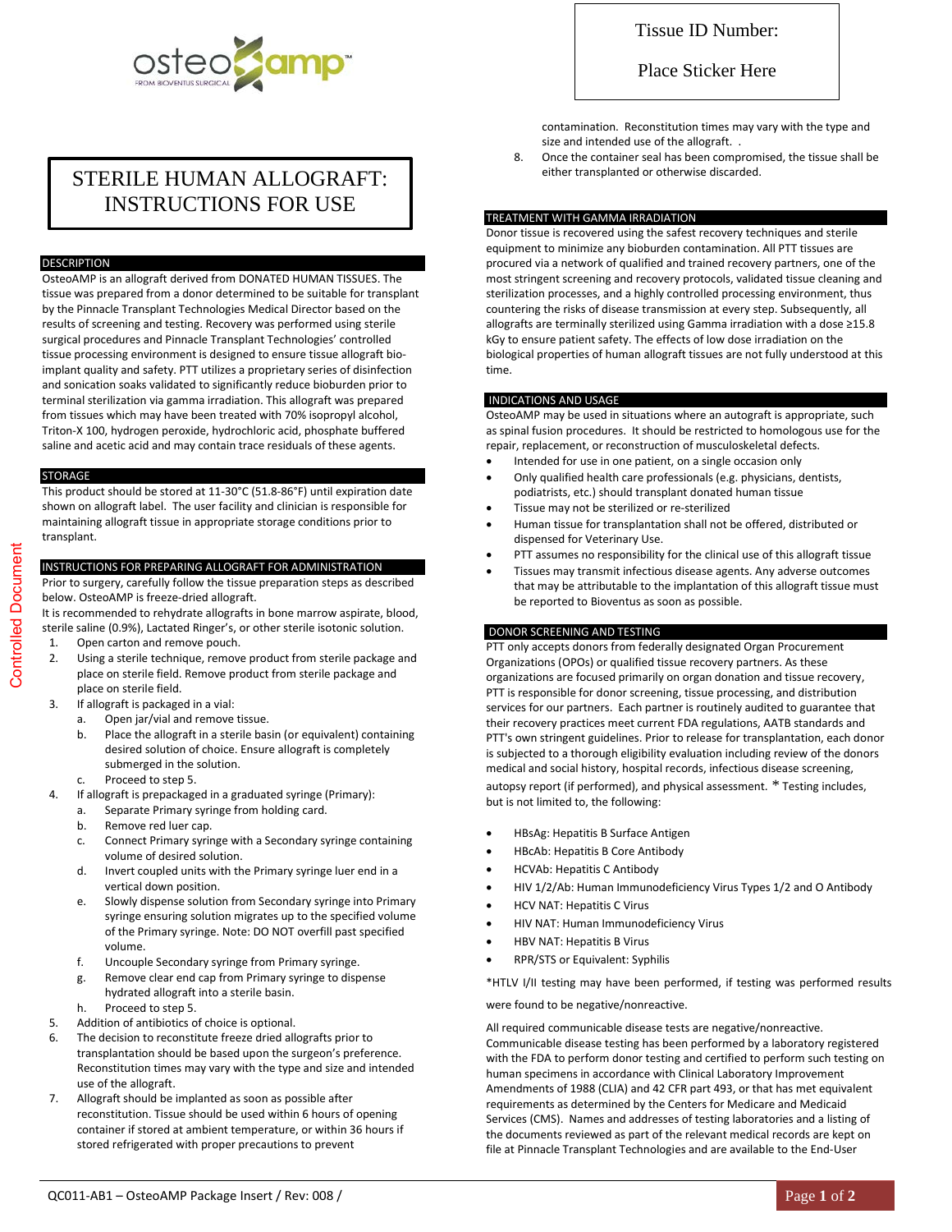

# STERILE HUMAN ALLOGRAFT: INSTRUCTIONS FOR USE

## DESCRIPTION

OsteoAMP is an allograft derived from DONATED HUMAN TISSUES. The tissue was prepared from a donor determined to be suitable for transplant by the Pinnacle Transplant Technologies Medical Director based on the results of screening and testing. Recovery was performed using sterile surgical procedures and Pinnacle Transplant Technologies' controlled tissue processing environment is designed to ensure tissue allograft bioimplant quality and safety. PTT utilizes a proprietary series of disinfection and sonication soaks validated to significantly reduce bioburden prior to terminal sterilization via gamma irradiation. This allograft was prepared from tissues which may have been treated with 70% isopropyl alcohol, Triton-X 100, hydrogen peroxide, hydrochloric acid, phosphate buffered saline and acetic acid and may contain trace residuals of these agents.

#### STORAGE

This product should be stored at 11-30°C (51.8-86°F) until expiration date shown on allograft label. The user facility and clinician is responsible for maintaining allograft tissue in appropriate storage conditions prior to transplant.

## INSTRUCTIONS FOR PREPARING ALLOGRAFT FOR ADMINISTRATION

Prior to surgery, carefully follow the tissue preparation steps as described below. OsteoAMP is freeze-dried allograft.

It is recommended to rehydrate allografts in bone marrow aspirate, blood, sterile saline (0.9%), Lactated Ringer's, or other sterile isotonic solution.

- 1. Open carton and remove pouch.
- 2. Using a sterile technique, remove product from sterile package and place on sterile field. Remove product from sterile package and place on sterile field.
- 3. If allograft is packaged in a vial:
	- a. Open jar/vial and remove tissue.
	- b. Place the allograft in a sterile basin (or equivalent) containing desired solution of choice. Ensure allograft is completely submerged in the solution.
	- c. Proceed to step 5.
- 4. If allograft is prepackaged in a graduated syringe (Primary):
	- a. Separate Primary syringe from holding card.
	- b. Remove red luer cap.
	- c. Connect Primary syringe with a Secondary syringe containing volume of desired solution.
	- d. Invert coupled units with the Primary syringe luer end in a vertical down position.
	- e. Slowly dispense solution from Secondary syringe into Primary syringe ensuring solution migrates up to the specified volume of the Primary syringe. Note: DO NOT overfill past specified volume.
	- f. Uncouple Secondary syringe from Primary syringe.
	- g. Remove clear end cap from Primary syringe to dispense hydrated allograft into a sterile basin.
	- h. Proceed to step 5.
- 5. Addition of antibiotics of choice is optional.
- 6. The decision to reconstitute freeze dried allografts prior to transplantation should be based upon the surgeon's preference. Reconstitution times may vary with the type and size and intended use of the allograft.
- 7. Allograft should be implanted as soon as possible after reconstitution. Tissue should be used within 6 hours of opening container if stored at ambient temperature, or within 36 hours if stored refrigerated with proper precautions to prevent

## Place Sticker Here

contamination. Reconstitution times may vary with the type and size and intended use of the allograft. .

8. Once the container seal has been compromised, the tissue shall be either transplanted or otherwise discarded.

#### TREATMENT WITH GAMMA IRRADIATION

Donor tissue is recovered using the safest recovery techniques and sterile equipment to minimize any bioburden contamination. All PTT tissues are procured via a network of qualified and trained recovery partners, one of the most stringent screening and recovery protocols, validated tissue cleaning and sterilization processes, and a highly controlled processing environment, thus countering the risks of disease transmission at every step. Subsequently, all allografts are terminally sterilized using Gamma irradiation with a dose ≥15.8 kGy to ensure patient safety. The effects of low dose irradiation on the biological properties of human allograft tissues are not fully understood at this time.

## INDICATIONS AND USAGE

OsteoAMP may be used in situations where an autograft is appropriate, such as spinal fusion procedures. It should be restricted to homologous use for the repair, replacement, or reconstruction of musculoskeletal defects.

- Intended for use in one patient, on a single occasion only
- Only qualified health care professionals (e.g. physicians, dentists, podiatrists, etc.) should transplant donated human tissue
- Tissue may not be sterilized or re-sterilized
- Human tissue for transplantation shall not be offered, distributed or dispensed for Veterinary Use.
- PTT assumes no responsibility for the clinical use of this allograft tissue
- Tissues may transmit infectious disease agents. Any adverse outcomes that may be attributable to the implantation of this allograft tissue must be reported to Bioventus as soon as possible.

## DONOR SCREENING AND TESTING

PTT only accepts donors from federally designated Organ Procurement Organizations (OPOs) or qualified tissue recovery partners. As these organizations are focused primarily on organ donation and tissue recovery, PTT is responsible for donor screening, tissue processing, and distribution services for our partners. Each partner is routinely audited to guarantee that their recovery practices meet current FDA regulations, AATB standards and PTT's own stringent guidelines. Prior to release for transplantation, each donor is subjected to a thorough eligibility evaluation including review of the donors medical and social history, hospital records, infectious disease screening, autopsy report (if performed), and physical assessment. \* Testing includes, but is not limited to, the following:

- HBsAg: Hepatitis B Surface Antigen
- HBcAb: Hepatitis B Core Antibody
- HCVAb: Hepatitis C Antibody
- HIV 1/2/Ab: Human Immunodeficiency Virus Types 1/2 and O Antibody
- HCV NAT: Hepatitis C Virus
- HIV NAT: Human Immunodeficiency Virus
- HBV NAT: Hepatitis B Virus
- RPR/STS or Equivalent: Syphilis

\*HTLV I/II testing may have been performed, if testing was performed results

were found to be negative/nonreactive.

All required communicable disease tests are negative/nonreactive. Communicable disease testing has been performed by a laboratory registered with the FDA to perform donor testing and certified to perform such testing on human specimens in accordance with Clinical Laboratory Improvement Amendments of 1988 (CLIA) and 42 CFR part 493, or that has met equivalent requirements as determined by the Centers for Medicare and Medicaid Services (CMS). Names and addresses of testing laboratories and a listing of the documents reviewed as part of the relevant medical records are kept on file at Pinnacle Transplant Technologies and are available to the End-User